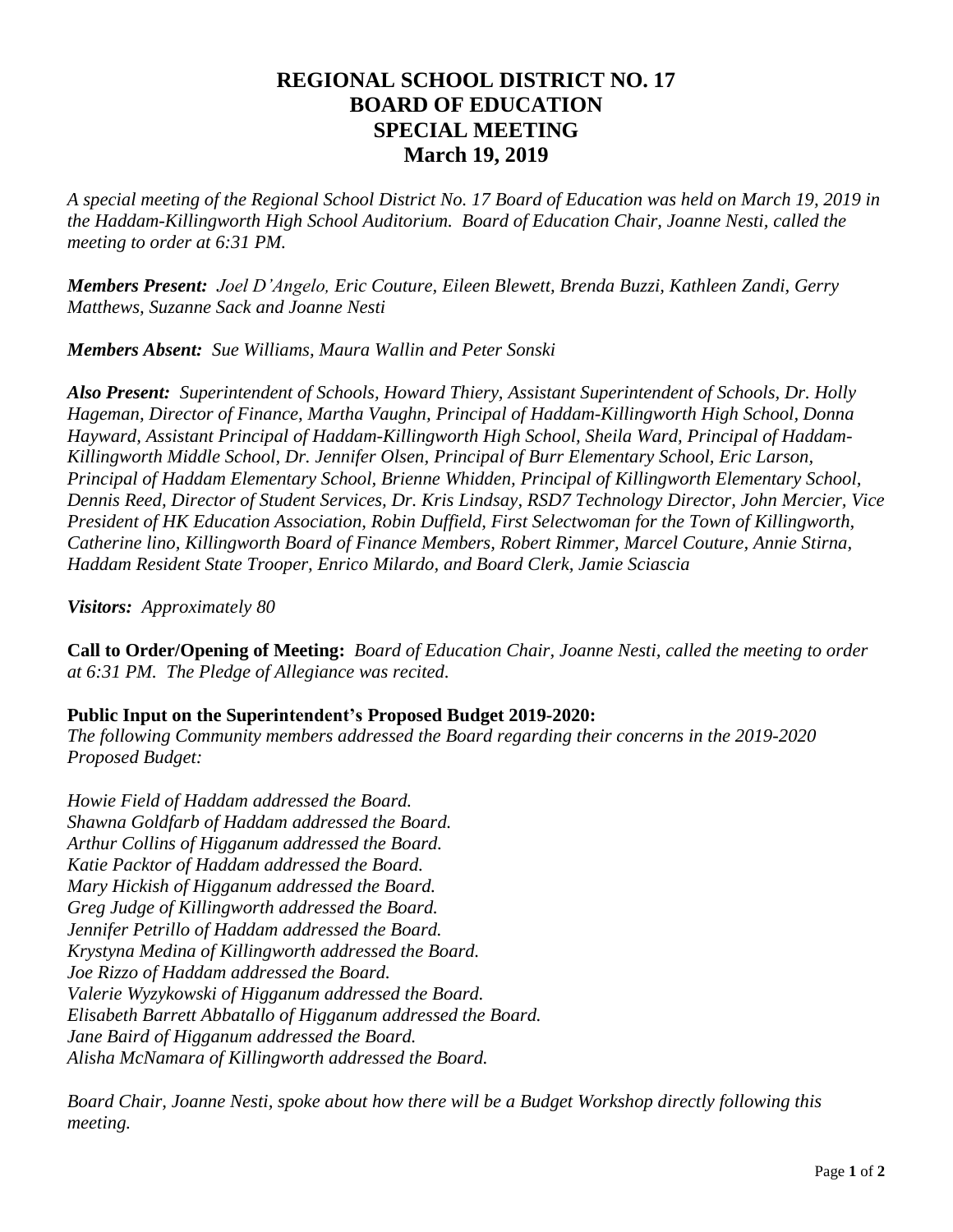## **REGIONAL SCHOOL DISTRICT NO. 17 BOARD OF EDUCATION SPECIAL MEETING March 19, 2019**

*A special meeting of the Regional School District No. 17 Board of Education was held on March 19, 2019 in the Haddam-Killingworth High School Auditorium. Board of Education Chair, Joanne Nesti, called the meeting to order at 6:31 PM.*

*Members Present: Joel D'Angelo, Eric Couture, Eileen Blewett, Brenda Buzzi, Kathleen Zandi, Gerry Matthews, Suzanne Sack and Joanne Nesti* 

*Members Absent: Sue Williams, Maura Wallin and Peter Sonski*

*Also Present: Superintendent of Schools, Howard Thiery, Assistant Superintendent of Schools, Dr. Holly Hageman, Director of Finance, Martha Vaughn, Principal of Haddam-Killingworth High School, Donna Hayward, Assistant Principal of Haddam-Killingworth High School, Sheila Ward, Principal of Haddam-Killingworth Middle School, Dr. Jennifer Olsen, Principal of Burr Elementary School, Eric Larson, Principal of Haddam Elementary School, Brienne Whidden, Principal of Killingworth Elementary School, Dennis Reed, Director of Student Services, Dr. Kris Lindsay, RSD7 Technology Director, John Mercier, Vice President of HK Education Association, Robin Duffield, First Selectwoman for the Town of Killingworth, Catherine lino, Killingworth Board of Finance Members, Robert Rimmer, Marcel Couture, Annie Stirna, Haddam Resident State Trooper, Enrico Milardo, and Board Clerk, Jamie Sciascia*

*Visitors: Approximately 80*

**Call to Order/Opening of Meeting:** *Board of Education Chair, Joanne Nesti, called the meeting to order at 6:31 PM. The Pledge of Allegiance was recited.*

## **Public Input on the Superintendent's Proposed Budget 2019-2020:**

*The following Community members addressed the Board regarding their concerns in the 2019-2020 Proposed Budget:*

*Howie Field of Haddam addressed the Board. Shawna Goldfarb of Haddam addressed the Board. Arthur Collins of Higganum addressed the Board. Katie Packtor of Haddam addressed the Board. Mary Hickish of Higganum addressed the Board. Greg Judge of Killingworth addressed the Board. Jennifer Petrillo of Haddam addressed the Board. Krystyna Medina of Killingworth addressed the Board. Joe Rizzo of Haddam addressed the Board. Valerie Wyzykowski of Higganum addressed the Board. Elisabeth Barrett Abbatallo of Higganum addressed the Board. Jane Baird of Higganum addressed the Board. Alisha McNamara of Killingworth addressed the Board.*

*Board Chair, Joanne Nesti, spoke about how there will be a Budget Workshop directly following this meeting.*